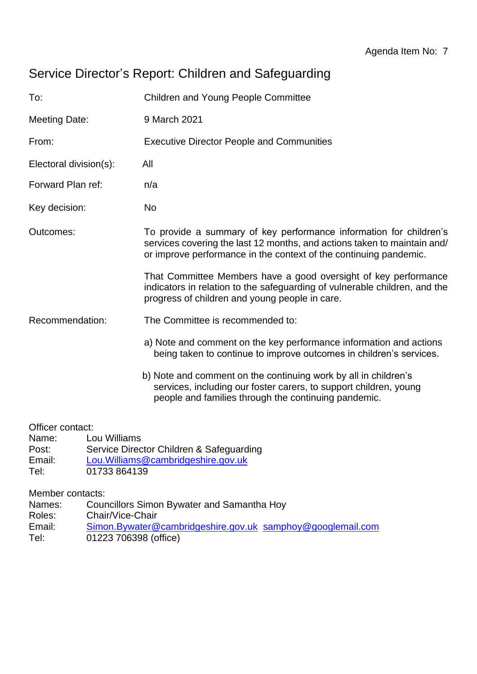## Service Director's Report: Children and Safeguarding

| To:                    | <b>Children and Young People Committee</b>                                                                                                                                                                          |  |
|------------------------|---------------------------------------------------------------------------------------------------------------------------------------------------------------------------------------------------------------------|--|
| Meeting Date:          | 9 March 2021                                                                                                                                                                                                        |  |
| From:                  | <b>Executive Director People and Communities</b>                                                                                                                                                                    |  |
| Electoral division(s): | All                                                                                                                                                                                                                 |  |
| Forward Plan ref:      | n/a                                                                                                                                                                                                                 |  |
| Key decision:          | <b>No</b>                                                                                                                                                                                                           |  |
| Outcomes:              | To provide a summary of key performance information for children's<br>services covering the last 12 months, and actions taken to maintain and/<br>or improve performance in the context of the continuing pandemic. |  |
|                        | That Committee Members have a good oversight of key performance<br>indicators in relation to the safeguarding of vulnerable children, and the<br>progress of children and young people in care.                     |  |
| Recommendation:        | The Committee is recommended to:                                                                                                                                                                                    |  |
|                        | a) Note and comment on the key performance information and actions<br>being taken to continue to improve outcomes in children's services.                                                                           |  |
|                        | b) Note and comment on the continuing work by all in children's<br>services, including our foster carers, to support children, young<br>people and families through the continuing pandemic.                        |  |

Officer contact:

- Name: Lou Williams
- Post: Service Director Children & Safeguarding<br>
Email: Lou.Williams@cambridgeshire.gov.uk
- Email: [Lou.Williams@cambridgeshire.gov.uk](mailto:Lou.Williams@cambridgeshire.gov.uk)<br>Tel: 01733 864139
- 01733 864139

Member contacts:

- Names: Councillors Simon Bywater and Samantha Hoy
- Roles: Chair/Vice-Chair
- Email: [Simon.Bywater@cambridgeshire.gov.uk](mailto:Simon.Bywater@cambridgeshire.gov.uk) [samphoy@googlemail.com](mailto:samphoy@googlemail.com)
- Tel: 01223 706398 (office)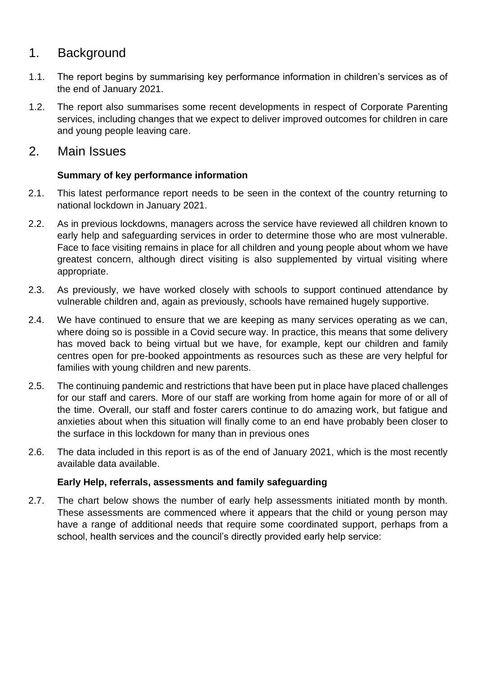## 1. Background

- 1.1. The report begins by summarising key performance information in children's services as of the end of January 2021.
- 1.2. The report also summarises some recent developments in respect of Corporate Parenting services, including changes that we expect to deliver improved outcomes for children in care and young people leaving care.
- 2. Main Issues

#### **Summary of key performance information**

- 2.1. This latest performance report needs to be seen in the context of the country returning to national lockdown in January 2021.
- 2.2. As in previous lockdowns, managers across the service have reviewed all children known to early help and safeguarding services in order to determine those who are most vulnerable. Face to face visiting remains in place for all children and young people about whom we have greatest concern, although direct visiting is also supplemented by virtual visiting where appropriate.
- 2.3. As previously, we have worked closely with schools to support continued attendance by vulnerable children and, again as previously, schools have remained hugely supportive.
- 2.4. We have continued to ensure that we are keeping as many services operating as we can, where doing so is possible in a Covid secure way. In practice, this means that some delivery has moved back to being virtual but we have, for example, kept our children and family centres open for pre-booked appointments as resources such as these are very helpful for families with young children and new parents.
- 2.5. The continuing pandemic and restrictions that have been put in place have placed challenges for our staff and carers. More of our staff are working from home again for more of or all of the time. Overall, our staff and foster carers continue to do amazing work, but fatigue and anxieties about when this situation will finally come to an end have probably been closer to the surface in this lockdown for many than in previous ones
- 2.6. The data included in this report is as of the end of January 2021, which is the most recently available data available.

#### **Early Help, referrals, assessments and family safeguarding**

2.7. The chart below shows the number of early help assessments initiated month by month. These assessments are commenced where it appears that the child or young person may have a range of additional needs that require some coordinated support, perhaps from a school, health services and the council's directly provided early help service: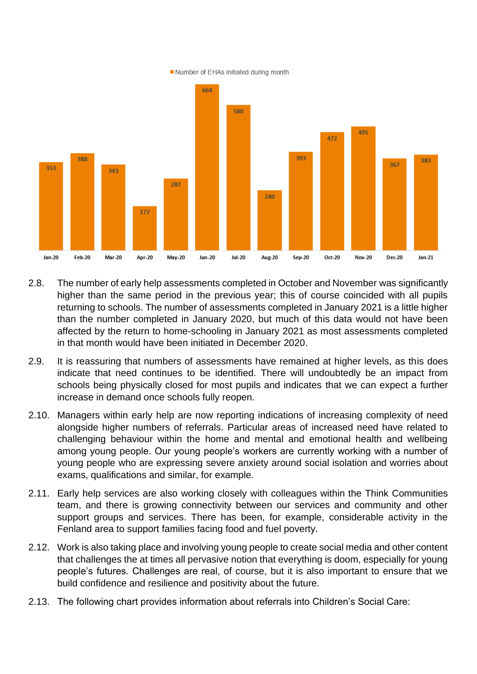Number of EHAs initiated during month



- 2.8. The number of early help assessments completed in October and November was significantly higher than the same period in the previous year; this of course coincided with all pupils returning to schools. The number of assessments completed in January 2021 is a little higher than the number completed in January 2020, but much of this data would not have been affected by the return to home-schooling in January 2021 as most assessments completed in that month would have been initiated in December 2020.
- 2.9. It is reassuring that numbers of assessments have remained at higher levels, as this does indicate that need continues to be identified. There will undoubtedly be an impact from schools being physically closed for most pupils and indicates that we can expect a further increase in demand once schools fully reopen.
- 2.10. Managers within early help are now reporting indications of increasing complexity of need alongside higher numbers of referrals. Particular areas of increased need have related to challenging behaviour within the home and mental and emotional health and wellbeing among young people. Our young people's workers are currently working with a number of young people who are expressing severe anxiety around social isolation and worries about exams, qualifications and similar, for example.
- 2.11. Early help services are also working closely with colleagues within the Think Communities team, and there is growing connectivity between our services and community and other support groups and services. There has been, for example, considerable activity in the Fenland area to support families facing food and fuel poverty.
- 2.12. Work is also taking place and involving young people to create social media and other content that challenges the at times all pervasive notion that everything is doom, especially for young people's futures. Challenges are real, of course, but it is also important to ensure that we build confidence and resilience and positivity about the future.
- 2.13. The following chart provides information about referrals into Children's Social Care: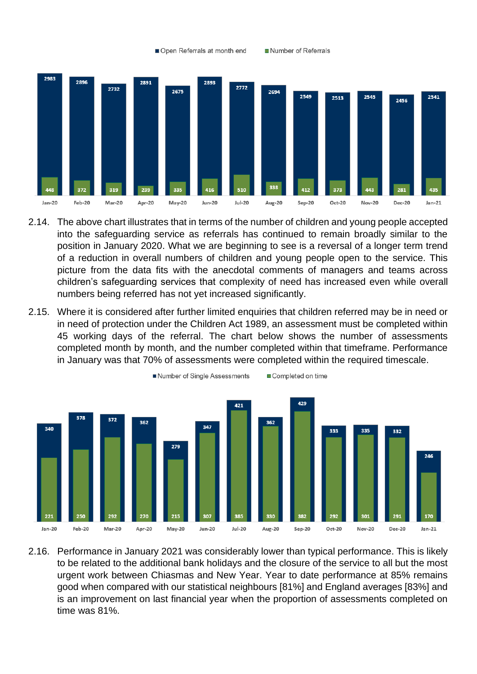

Number of Referrals

Open Referrals at month end

- 2.14. The above chart illustrates that in terms of the number of children and young people accepted into the safeguarding service as referrals has continued to remain broadly similar to the position in January 2020. What we are beginning to see is a reversal of a longer term trend of a reduction in overall numbers of children and young people open to the service. This picture from the data fits with the anecdotal comments of managers and teams across children's safeguarding services that complexity of need has increased even while overall numbers being referred has not yet increased significantly.
- 2.15. Where it is considered after further limited enquiries that children referred may be in need or in need of protection under the Children Act 1989, an assessment must be completed within 45 working days of the referral. The chart below shows the number of assessments completed month by month, and the number completed within that timeframe. Performance in January was that 70% of assessments were completed within the required timescale.



2.16. Performance in January 2021 was considerably lower than typical performance. This is likely to be related to the additional bank holidays and the closure of the service to all but the most urgent work between Chiasmas and New Year. Year to date performance at 85% remains good when compared with our statistical neighbours [81%] and England averages [83%] and is an improvement on last financial year when the proportion of assessments completed on time was 81%.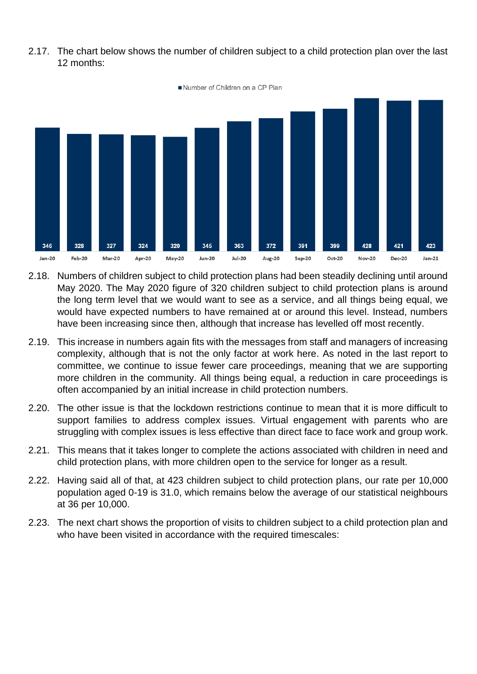2.17. The chart below shows the number of children subject to a child protection plan over the last 12 months:



- 2.18. Numbers of children subject to child protection plans had been steadily declining until around May 2020. The May 2020 figure of 320 children subject to child protection plans is around the long term level that we would want to see as a service, and all things being equal, we would have expected numbers to have remained at or around this level. Instead, numbers have been increasing since then, although that increase has levelled off most recently.
- 2.19. This increase in numbers again fits with the messages from staff and managers of increasing complexity, although that is not the only factor at work here. As noted in the last report to committee, we continue to issue fewer care proceedings, meaning that we are supporting more children in the community. All things being equal, a reduction in care proceedings is often accompanied by an initial increase in child protection numbers.
- 2.20. The other issue is that the lockdown restrictions continue to mean that it is more difficult to support families to address complex issues. Virtual engagement with parents who are struggling with complex issues is less effective than direct face to face work and group work.
- 2.21. This means that it takes longer to complete the actions associated with children in need and child protection plans, with more children open to the service for longer as a result.
- 2.22. Having said all of that, at 423 children subject to child protection plans, our rate per 10,000 population aged 0-19 is 31.0, which remains below the average of our statistical neighbours at 36 per 10,000.
- 2.23. The next chart shows the proportion of visits to children subject to a child protection plan and who have been visited in accordance with the required timescales: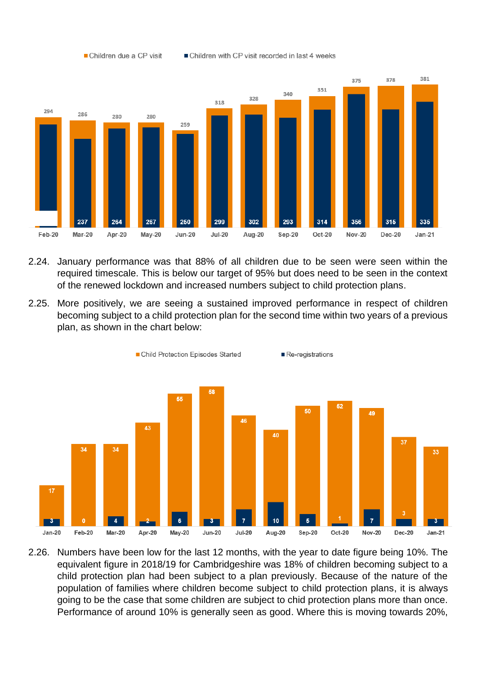

Children due a CP visit

Children with CP visit recorded in last 4 weeks

- 2.24. January performance was that 88% of all children due to be seen were seen within the required timescale. This is below our target of 95% but does need to be seen in the context of the renewed lockdown and increased numbers subject to child protection plans.
- 2.25. More positively, we are seeing a sustained improved performance in respect of children becoming subject to a child protection plan for the second time within two years of a previous plan, as shown in the chart below:



2.26. Numbers have been low for the last 12 months, with the year to date figure being 10%. The equivalent figure in 2018/19 for Cambridgeshire was 18% of children becoming subject to a child protection plan had been subject to a plan previously. Because of the nature of the population of families where children become subject to child protection plans, it is always going to be the case that some children are subject to chid protection plans more than once. Performance of around 10% is generally seen as good. Where this is moving towards 20%,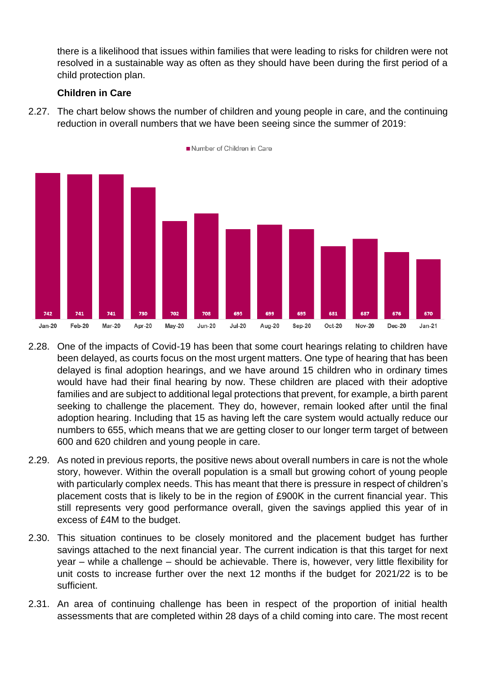there is a likelihood that issues within families that were leading to risks for children were not resolved in a sustainable way as often as they should have been during the first period of a child protection plan.

#### **Children in Care**

2.27. The chart below shows the number of children and young people in care, and the continuing reduction in overall numbers that we have been seeing since the summer of 2019:



- 2.28. One of the impacts of Covid-19 has been that some court hearings relating to children have been delayed, as courts focus on the most urgent matters. One type of hearing that has been delayed is final adoption hearings, and we have around 15 children who in ordinary times would have had their final hearing by now. These children are placed with their adoptive families and are subject to additional legal protections that prevent, for example, a birth parent seeking to challenge the placement. They do, however, remain looked after until the final adoption hearing. Including that 15 as having left the care system would actually reduce our numbers to 655, which means that we are getting closer to our longer term target of between 600 and 620 children and young people in care.
- 2.29. As noted in previous reports, the positive news about overall numbers in care is not the whole story, however. Within the overall population is a small but growing cohort of young people with particularly complex needs. This has meant that there is pressure in respect of children's placement costs that is likely to be in the region of £900K in the current financial year. This still represents very good performance overall, given the savings applied this year of in excess of £4M to the budget.
- 2.30. This situation continues to be closely monitored and the placement budget has further savings attached to the next financial year. The current indication is that this target for next year – while a challenge – should be achievable. There is, however, very little flexibility for unit costs to increase further over the next 12 months if the budget for 2021/22 is to be sufficient.
- 2.31. An area of continuing challenge has been in respect of the proportion of initial health assessments that are completed within 28 days of a child coming into care. The most recent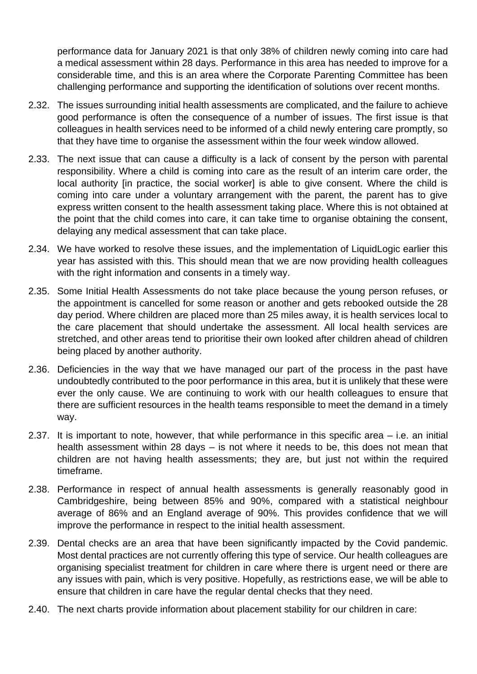performance data for January 2021 is that only 38% of children newly coming into care had a medical assessment within 28 days. Performance in this area has needed to improve for a considerable time, and this is an area where the Corporate Parenting Committee has been challenging performance and supporting the identification of solutions over recent months.

- 2.32. The issues surrounding initial health assessments are complicated, and the failure to achieve good performance is often the consequence of a number of issues. The first issue is that colleagues in health services need to be informed of a child newly entering care promptly, so that they have time to organise the assessment within the four week window allowed.
- 2.33. The next issue that can cause a difficulty is a lack of consent by the person with parental responsibility. Where a child is coming into care as the result of an interim care order, the local authority [in practice, the social worker] is able to give consent. Where the child is coming into care under a voluntary arrangement with the parent, the parent has to give express written consent to the health assessment taking place. Where this is not obtained at the point that the child comes into care, it can take time to organise obtaining the consent, delaying any medical assessment that can take place.
- 2.34. We have worked to resolve these issues, and the implementation of LiquidLogic earlier this year has assisted with this. This should mean that we are now providing health colleagues with the right information and consents in a timely way.
- 2.35. Some Initial Health Assessments do not take place because the young person refuses, or the appointment is cancelled for some reason or another and gets rebooked outside the 28 day period. Where children are placed more than 25 miles away, it is health services local to the care placement that should undertake the assessment. All local health services are stretched, and other areas tend to prioritise their own looked after children ahead of children being placed by another authority.
- 2.36. Deficiencies in the way that we have managed our part of the process in the past have undoubtedly contributed to the poor performance in this area, but it is unlikely that these were ever the only cause. We are continuing to work with our health colleagues to ensure that there are sufficient resources in the health teams responsible to meet the demand in a timely way.
- 2.37. It is important to note, however, that while performance in this specific area i.e. an initial health assessment within 28 days – is not where it needs to be, this does not mean that children are not having health assessments; they are, but just not within the required timeframe.
- 2.38. Performance in respect of annual health assessments is generally reasonably good in Cambridgeshire, being between 85% and 90%, compared with a statistical neighbour average of 86% and an England average of 90%. This provides confidence that we will improve the performance in respect to the initial health assessment.
- 2.39. Dental checks are an area that have been significantly impacted by the Covid pandemic. Most dental practices are not currently offering this type of service. Our health colleagues are organising specialist treatment for children in care where there is urgent need or there are any issues with pain, which is very positive. Hopefully, as restrictions ease, we will be able to ensure that children in care have the regular dental checks that they need.
- 2.40. The next charts provide information about placement stability for our children in care: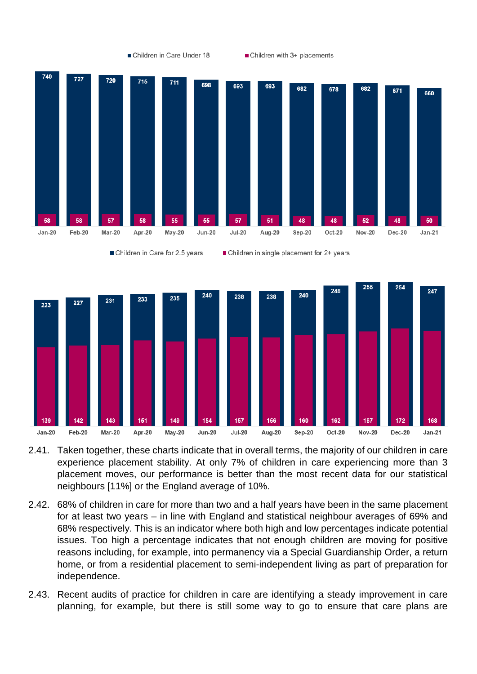

- 2.41. Taken together, these charts indicate that in overall terms, the majority of our children in care experience placement stability. At only 7% of children in care experiencing more than 3 placement moves, our performance is better than the most recent data for our statistical neighbours [11%] or the England average of 10%.
- 2.42. 68% of children in care for more than two and a half years have been in the same placement for at least two years – in line with England and statistical neighbour averages of 69% and 68% respectively. This is an indicator where both high and low percentages indicate potential issues. Too high a percentage indicates that not enough children are moving for positive reasons including, for example, into permanency via a Special Guardianship Order, a return home, or from a residential placement to semi-independent living as part of preparation for independence.
- 2.43. Recent audits of practice for children in care are identifying a steady improvement in care planning, for example, but there is still some way to go to ensure that care plans are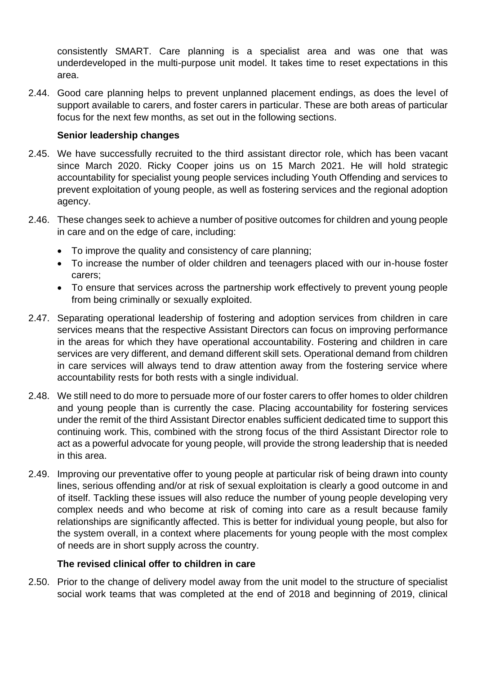consistently SMART. Care planning is a specialist area and was one that was underdeveloped in the multi-purpose unit model. It takes time to reset expectations in this area.

2.44. Good care planning helps to prevent unplanned placement endings, as does the level of support available to carers, and foster carers in particular. These are both areas of particular focus for the next few months, as set out in the following sections.

#### **Senior leadership changes**

- 2.45. We have successfully recruited to the third assistant director role, which has been vacant since March 2020. Ricky Cooper joins us on 15 March 2021. He will hold strategic accountability for specialist young people services including Youth Offending and services to prevent exploitation of young people, as well as fostering services and the regional adoption agency.
- 2.46. These changes seek to achieve a number of positive outcomes for children and young people in care and on the edge of care, including:
	- To improve the quality and consistency of care planning;
	- To increase the number of older children and teenagers placed with our in-house foster carers;
	- To ensure that services across the partnership work effectively to prevent young people from being criminally or sexually exploited.
- 2.47. Separating operational leadership of fostering and adoption services from children in care services means that the respective Assistant Directors can focus on improving performance in the areas for which they have operational accountability. Fostering and children in care services are very different, and demand different skill sets. Operational demand from children in care services will always tend to draw attention away from the fostering service where accountability rests for both rests with a single individual.
- 2.48. We still need to do more to persuade more of our foster carers to offer homes to older children and young people than is currently the case. Placing accountability for fostering services under the remit of the third Assistant Director enables sufficient dedicated time to support this continuing work. This, combined with the strong focus of the third Assistant Director role to act as a powerful advocate for young people, will provide the strong leadership that is needed in this area.
- 2.49. Improving our preventative offer to young people at particular risk of being drawn into county lines, serious offending and/or at risk of sexual exploitation is clearly a good outcome in and of itself. Tackling these issues will also reduce the number of young people developing very complex needs and who become at risk of coming into care as a result because family relationships are significantly affected. This is better for individual young people, but also for the system overall, in a context where placements for young people with the most complex of needs are in short supply across the country.

#### **The revised clinical offer to children in care**

2.50. Prior to the change of delivery model away from the unit model to the structure of specialist social work teams that was completed at the end of 2018 and beginning of 2019, clinical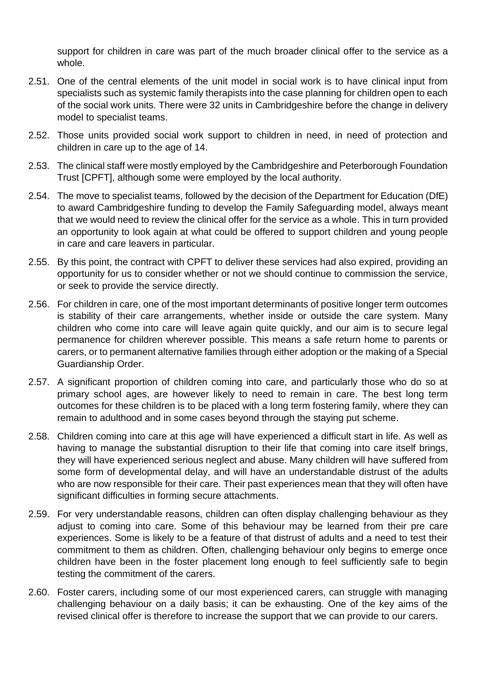support for children in care was part of the much broader clinical offer to the service as a whole.

- 2.51. One of the central elements of the unit model in social work is to have clinical input from specialists such as systemic family therapists into the case planning for children open to each of the social work units. There were 32 units in Cambridgeshire before the change in delivery model to specialist teams.
- 2.52. Those units provided social work support to children in need, in need of protection and children in care up to the age of 14.
- 2.53. The clinical staff were mostly employed by the Cambridgeshire and Peterborough Foundation Trust [CPFT], although some were employed by the local authority.
- 2.54. The move to specialist teams, followed by the decision of the Department for Education (DfE) to award Cambridgeshire funding to develop the Family Safeguarding model, always meant that we would need to review the clinical offer for the service as a whole. This in turn provided an opportunity to look again at what could be offered to support children and young people in care and care leavers in particular.
- 2.55. By this point, the contract with CPFT to deliver these services had also expired, providing an opportunity for us to consider whether or not we should continue to commission the service, or seek to provide the service directly.
- 2.56. For children in care, one of the most important determinants of positive longer term outcomes is stability of their care arrangements, whether inside or outside the care system. Many children who come into care will leave again quite quickly, and our aim is to secure legal permanence for children wherever possible. This means a safe return home to parents or carers, or to permanent alternative families through either adoption or the making of a Special Guardianship Order.
- 2.57. A significant proportion of children coming into care, and particularly those who do so at primary school ages, are however likely to need to remain in care. The best long term outcomes for these children is to be placed with a long term fostering family, where they can remain to adulthood and in some cases beyond through the staying put scheme.
- 2.58. Children coming into care at this age will have experienced a difficult start in life. As well as having to manage the substantial disruption to their life that coming into care itself brings, they will have experienced serious neglect and abuse. Many children will have suffered from some form of developmental delay, and will have an understandable distrust of the adults who are now responsible for their care. Their past experiences mean that they will often have significant difficulties in forming secure attachments.
- 2.59. For very understandable reasons, children can often display challenging behaviour as they adjust to coming into care. Some of this behaviour may be learned from their pre care experiences. Some is likely to be a feature of that distrust of adults and a need to test their commitment to them as children. Often, challenging behaviour only begins to emerge once children have been in the foster placement long enough to feel sufficiently safe to begin testing the commitment of the carers.
- 2.60. Foster carers, including some of our most experienced carers, can struggle with managing challenging behaviour on a daily basis; it can be exhausting. One of the key aims of the revised clinical offer is therefore to increase the support that we can provide to our carers.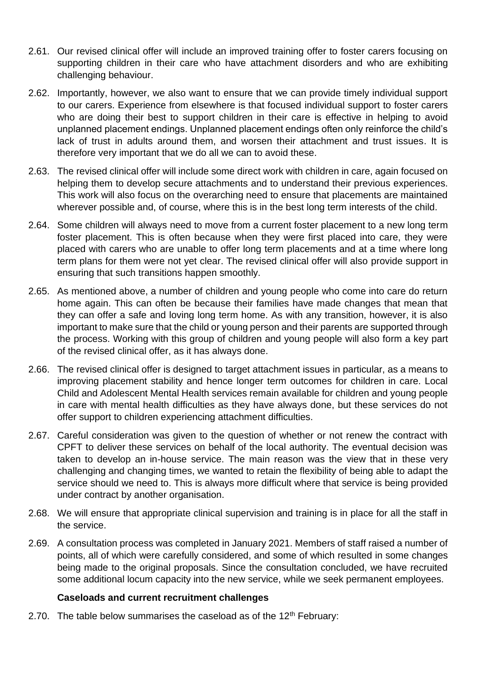- 2.61. Our revised clinical offer will include an improved training offer to foster carers focusing on supporting children in their care who have attachment disorders and who are exhibiting challenging behaviour.
- 2.62. Importantly, however, we also want to ensure that we can provide timely individual support to our carers. Experience from elsewhere is that focused individual support to foster carers who are doing their best to support children in their care is effective in helping to avoid unplanned placement endings. Unplanned placement endings often only reinforce the child's lack of trust in adults around them, and worsen their attachment and trust issues. It is therefore very important that we do all we can to avoid these.
- 2.63. The revised clinical offer will include some direct work with children in care, again focused on helping them to develop secure attachments and to understand their previous experiences. This work will also focus on the overarching need to ensure that placements are maintained wherever possible and, of course, where this is in the best long term interests of the child.
- 2.64. Some children will always need to move from a current foster placement to a new long term foster placement. This is often because when they were first placed into care, they were placed with carers who are unable to offer long term placements and at a time where long term plans for them were not yet clear. The revised clinical offer will also provide support in ensuring that such transitions happen smoothly.
- 2.65. As mentioned above, a number of children and young people who come into care do return home again. This can often be because their families have made changes that mean that they can offer a safe and loving long term home. As with any transition, however, it is also important to make sure that the child or young person and their parents are supported through the process. Working with this group of children and young people will also form a key part of the revised clinical offer, as it has always done.
- 2.66. The revised clinical offer is designed to target attachment issues in particular, as a means to improving placement stability and hence longer term outcomes for children in care. Local Child and Adolescent Mental Health services remain available for children and young people in care with mental health difficulties as they have always done, but these services do not offer support to children experiencing attachment difficulties.
- 2.67. Careful consideration was given to the question of whether or not renew the contract with CPFT to deliver these services on behalf of the local authority. The eventual decision was taken to develop an in-house service. The main reason was the view that in these very challenging and changing times, we wanted to retain the flexibility of being able to adapt the service should we need to. This is always more difficult where that service is being provided under contract by another organisation.
- 2.68. We will ensure that appropriate clinical supervision and training is in place for all the staff in the service.
- 2.69. A consultation process was completed in January 2021. Members of staff raised a number of points, all of which were carefully considered, and some of which resulted in some changes being made to the original proposals. Since the consultation concluded, we have recruited some additional locum capacity into the new service, while we seek permanent employees.

#### **Caseloads and current recruitment challenges**

2.70. The table below summarises the caseload as of the  $12<sup>th</sup>$  February: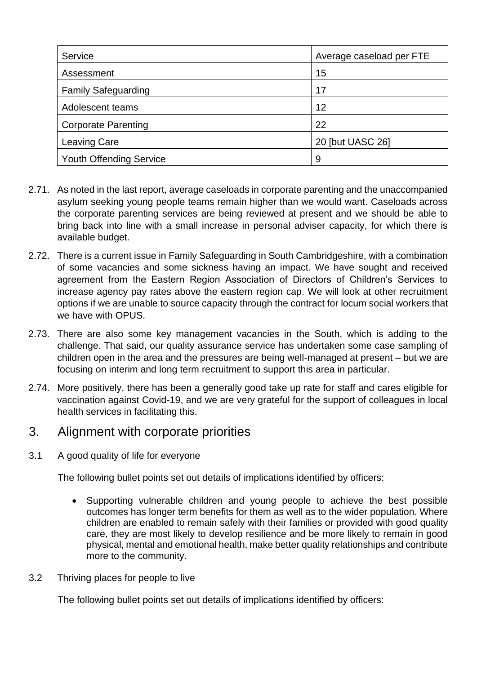| Service                        | Average caseload per FTE |
|--------------------------------|--------------------------|
| Assessment                     | 15                       |
| <b>Family Safeguarding</b>     | 17                       |
| Adolescent teams               | 12                       |
| <b>Corporate Parenting</b>     | 22                       |
| <b>Leaving Care</b>            | 20 [but UASC 26]         |
| <b>Youth Offending Service</b> | 9                        |

- 2.71. As noted in the last report, average caseloads in corporate parenting and the unaccompanied asylum seeking young people teams remain higher than we would want. Caseloads across the corporate parenting services are being reviewed at present and we should be able to bring back into line with a small increase in personal adviser capacity, for which there is available budget.
- 2.72. There is a current issue in Family Safeguarding in South Cambridgeshire, with a combination of some vacancies and some sickness having an impact. We have sought and received agreement from the Eastern Region Association of Directors of Children's Services to increase agency pay rates above the eastern region cap. We will look at other recruitment options if we are unable to source capacity through the contract for locum social workers that we have with OPUS.
- 2.73. There are also some key management vacancies in the South, which is adding to the challenge. That said, our quality assurance service has undertaken some case sampling of children open in the area and the pressures are being well-managed at present – but we are focusing on interim and long term recruitment to support this area in particular.
- 2.74. More positively, there has been a generally good take up rate for staff and cares eligible for vaccination against Covid-19, and we are very grateful for the support of colleagues in local health services in facilitating this.

### 3. Alignment with corporate priorities

3.1 A good quality of life for everyone

The following bullet points set out details of implications identified by officers:

- Supporting vulnerable children and young people to achieve the best possible outcomes has longer term benefits for them as well as to the wider population. Where children are enabled to remain safely with their families or provided with good quality care, they are most likely to develop resilience and be more likely to remain in good physical, mental and emotional health, make better quality relationships and contribute more to the community.
- 3.2 Thriving places for people to live

The following bullet points set out details of implications identified by officers: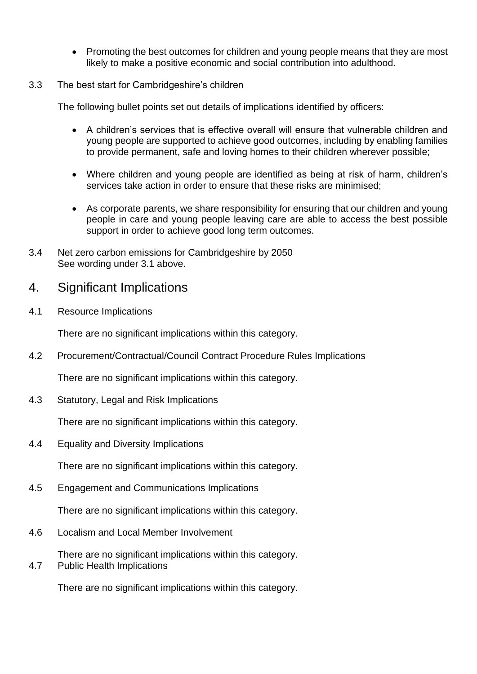• Promoting the best outcomes for children and young people means that they are most likely to make a positive economic and social contribution into adulthood.

#### 3.3 The best start for Cambridgeshire's children

The following bullet points set out details of implications identified by officers:

- A children's services that is effective overall will ensure that vulnerable children and young people are supported to achieve good outcomes, including by enabling families to provide permanent, safe and loving homes to their children wherever possible;
- Where children and young people are identified as being at risk of harm, children's services take action in order to ensure that these risks are minimised;
- As corporate parents, we share responsibility for ensuring that our children and young people in care and young people leaving care are able to access the best possible support in order to achieve good long term outcomes.
- 3.4 Net zero carbon emissions for Cambridgeshire by 2050 See wording under 3.1 above.

### 4. Significant Implications

4.1 Resource Implications

There are no significant implications within this category.

4.2 Procurement/Contractual/Council Contract Procedure Rules Implications

There are no significant implications within this category.

4.3 Statutory, Legal and Risk Implications

There are no significant implications within this category.

4.4 Equality and Diversity Implications

There are no significant implications within this category.

4.5 Engagement and Communications Implications

There are no significant implications within this category.

4.6 Localism and Local Member Involvement

There are no significant implications within this category.

4.7 Public Health Implications

There are no significant implications within this category.